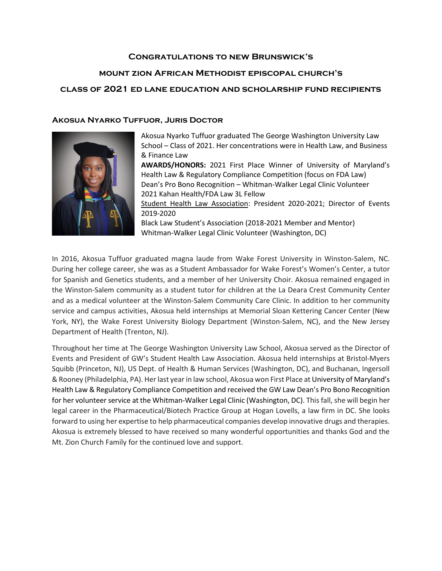## **Congratulations to new Brunswick's**

## **mount zion African Methodist episcopal church's**

## **class of 2021 ed lane education and scholarship fund recipients**

### **Akosua Nyarko Tuffuor, Juris Doctor**



Akosua Nyarko Tuffuor graduated The George Washington University Law School – Class of 2021. Her concentrations were in Health Law, and Business & Finance Law

**AWARDS/HONORS:** 2021 First Place Winner of University of Maryland's Health Law & Regulatory Compliance Competition (focus on FDA Law) Dean's Pro Bono Recognition – Whitman-Walker Legal Clinic Volunteer 2021 Kahan Health/FDA Law 3L Fellow

Student Health Law Association: President 2020-2021; Director of Events 2019-2020

Black Law Student's Association (2018-2021 Member and Mentor) Whitman-Walker Legal Clinic Volunteer (Washington, DC)

In 2016, Akosua Tuffuor graduated magna laude from Wake Forest University in Winston-Salem, NC. During her college career, she was as a Student Ambassador for Wake Forest's Women's Center, a tutor for Spanish and Genetics students, and a member of her University Choir. Akosua remained engaged in the Winston-Salem community as a student tutor for children at the La Deara Crest Community Center and as a medical volunteer at the Winston-Salem Community Care Clinic. In addition to her community service and campus activities, Akosua held internships at Memorial Sloan Kettering Cancer Center (New York, NY), the Wake Forest University Biology Department (Winston-Salem, NC), and the New Jersey Department of Health (Trenton, NJ).

Throughout her time at The George Washington University Law School, Akosua served as the Director of Events and President of GW's Student Health Law Association. Akosua held internships at Bristol-Myers Squibb (Princeton, NJ), US Dept. of Health & Human Services (Washington, DC), and Buchanan, Ingersoll & Rooney (Philadelphia, PA). Her last year in law school, Akosua won First Place at University of Maryland's Health Law & Regulatory Compliance Competition and received the GW Law Dean's Pro Bono Recognition for her volunteer service at the Whitman-Walker Legal Clinic (Washington, DC). This fall, she will begin her legal career in the Pharmaceutical/Biotech Practice Group at Hogan Lovells, a law firm in DC. She looks forward to using her expertise to help pharmaceutical companies develop innovative drugs and therapies. Akosua is extremely blessed to have received so many wonderful opportunities and thanks God and the Mt. Zion Church Family for the continued love and support.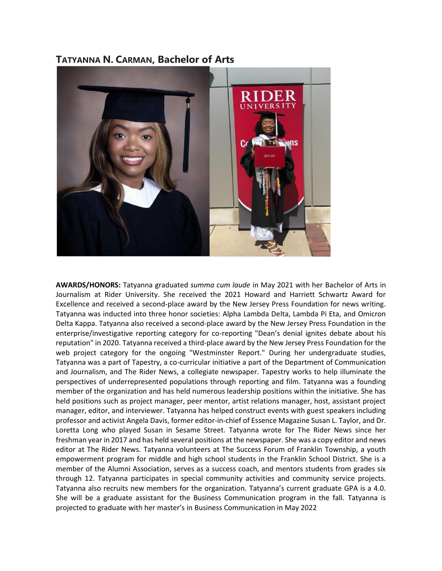# **TATYANNA N. CARMAN, Bachelor of Arts**



**AWARDS/HONORS:** Tatyanna graduated *summa cum laude* in May 2021 with her Bachelor of Arts in Journalism at Rider University. She received the 2021 Howard and Harriett Schwartz Award for Excellence and received a second-place award by the New Jersey Press Foundation for news writing. Tatyanna was inducted into three honor societies: Alpha Lambda Delta, Lambda Pi Eta, and Omicron Delta Kappa. Tatyanna also received a second-place award by the New Jersey Press Foundation in the enterprise/investigative reporting category for co-reporting "Dean's denial ignites debate about his reputation" in 2020. Tatyanna received a third-place award by the New Jersey Press Foundation for the web project category for the ongoing "Westminster Report." During her undergraduate studies, Tatyanna was a part of Tapestry, a co-curricular initiative a part of the Department of Communication and Journalism, and The Rider News, a collegiate newspaper. Tapestry works to help illuminate the perspectives of underrepresented populations through reporting and film. Tatyanna was a founding member of the organization and has held numerous leadership positions within the initiative. She has held positions such as project manager, peer mentor, artist relations manager, host, assistant project manager, editor, and interviewer. Tatyanna has helped construct events with guest speakers including professor and activist Angela Davis, former editor-in-chief of Essence Magazine Susan L. Taylor, and Dr. Loretta Long who played Susan in Sesame Street. Tatyanna wrote for The Rider News since her freshman year in 2017 and has held several positions at the newspaper. She was a copy editor and news editor at The Rider News. Tatyanna volunteers at The Success Forum of Franklin Township, a youth empowerment program for middle and high school students in the Franklin School District. She is a member of the Alumni Association, serves as a success coach, and mentors students from grades six through 12. Tatyanna participates in special community activities and community service projects. Tatyanna also recruits new members for the organization. Tatyanna's current graduate GPA is a 4.0. She will be a graduate assistant for the Business Communication program in the fall. Tatyanna is projected to graduate with her master's in Business Communication in May 2022